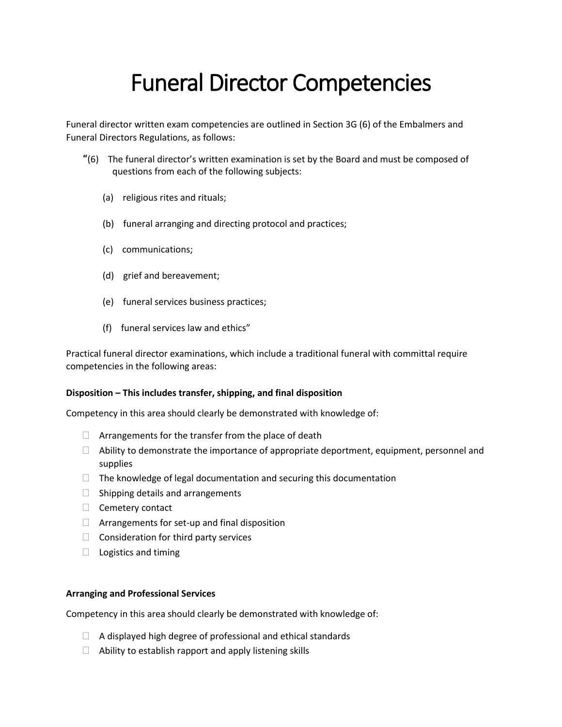# Funeral Director Competencies

Funeral director written exam competencies are outlined in Section 3G (6) of the Embalmers and Funeral Directors Regulations, as follows:

- **"**(6) The funeral director's written examination is set by the Board and must be composed of questions from each of the following subjects:
	- (a) religious rites and rituals;
	- (b) funeral arranging and directing protocol and practices;
	- (c) communications;
	- (d) grief and bereavement;
	- (e) funeral services business practices;
	- (f) funeral services law and ethics"

Practical funeral director examinations, which include a traditional funeral with committal require competencies in the following areas:

#### **Disposition – This includes transfer, shipping, and final disposition**

Competency in this area should clearly be demonstrated with knowledge of:

- $\Box$  Arrangements for the transfer from the place of death
- $\Box$  Ability to demonstrate the importance of appropriate deportment, equipment, personnel and supplies
- $\Box$  The knowledge of legal documentation and securing this documentation
- $\Box$  Shipping details and arrangements
- $\Box$  Cemetery contact
- $\Box$  Arrangements for set-up and final disposition
- $\Box$  Consideration for third party services
- $\Box$  Logistics and timing

#### **Arranging and Professional Services**

Competency in this area should clearly be demonstrated with knowledge of:

- $\Box$  A displayed high degree of professional and ethical standards
- $\Box$  Ability to establish rapport and apply listening skills